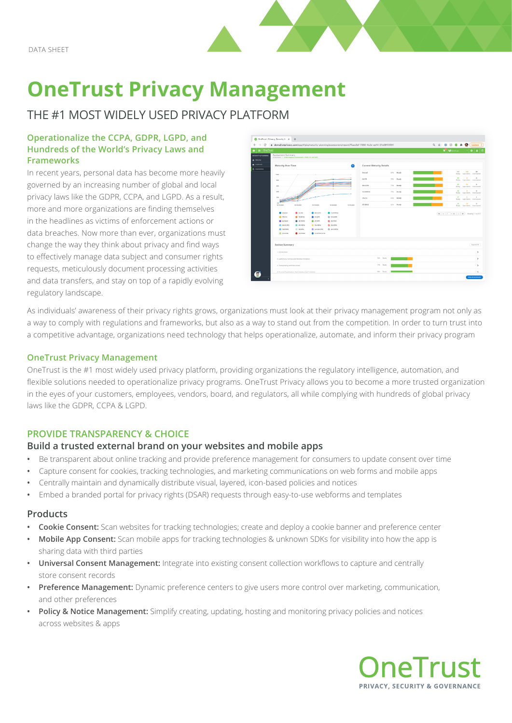

# **OneTrust Privacy Management**

# THE #1 MOST WIDELY USED PRIVACY PLATFORM

#### **Operationalize the CCPA, GDPR, LGPD, and Hundreds of the World's Privacy Laws and Frameworks**

In recent years, personal data has become more heavily governed by an increasing number of global and local privacy laws like the GDPR, CCPA, and LGPD. As a result, more and more organizations are finding themselves in the headlines as victims of enforcement actions or data breaches. Now more than ever, organizations must change the way they think about privacy and find ways to effectively manage data subject and consumer rights requests, meticulously document processing activities and data transfers, and stay on top of a rapidly evolving regulatory landscape.



As individuals' awareness of their privacy rights grows, organizations must look at their privacy management program not only as a way to comply with regulations and frameworks, but also as a way to stand out from the competition. In order to turn trust into a competitive advantage, organizations need technology that helps operationalize, automate, and inform their privacy program

#### **OneTrust Privacy Management**

OneTrust is the #1 most widely used privacy platform, providing organizations the regulatory intelligence, automation, and flexible solutions needed to operationalize privacy programs. OneTrust Privacy allows you to become a more trusted organization in the eyes of your customers, employees, vendors, board, and regulators, all while complying with hundreds of global privacy laws like the GDPR, CCPA & LGPD.

### **PROVIDE TRANSPARENCY & CHOICE**

#### **Build a trusted external brand on your websites and mobile apps**

- **•** Be transparent about online tracking and provide preference management for consumers to update consent over time
- **•** Capture consent for cookies, tracking technologies, and marketing communications on web forms and mobile apps
- **•** Centrally maintain and dynamically distribute visual, layered, icon-based policies and notices
- **•** Embed a branded portal for privacy rights (DSAR) requests through easy-to-use webforms and templates

#### **Products**

- **• Cookie Consent:** Scan websites for tracking technologies; create and deploy a cookie banner and preference center
- **• Mobile App Consent:** Scan mobile apps for tracking technologies & unknown SDKs for visibility into how the app is sharing data with third parties
- **• Universal Consent Management:** Integrate into existing consent collection workflows to capture and centrally store consent records
- **• Preference Management:** Dynamic preference centers to give users more control over marketing, communication, and other preferences
- **• Policy & Notice Management:** Simplify creating, updating, hosting and monitoring privacy policies and notices across websites & apps